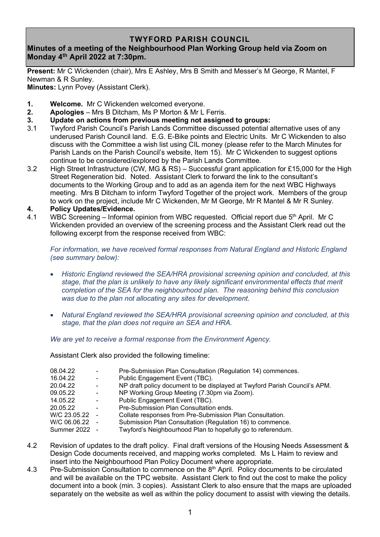## **TWYFORD PARISH COUNCIL**

## **Minutes of a meeting of the Neighbourhood Plan Working Group held via Zoom on Monday 4 th April 2022 at 7:30pm.**

**Present:** Mr C Wickenden (chair), Mrs E Ashley, Mrs B Smith and Messer's M George, R Mantel, F Newman & R Sunley.

**Minutes:** Lynn Povey (Assistant Clerk).

- **1. Welcome.** Mr C Wickenden welcomed everyone.
- **2. Apologies** Mrs B Ditcham, Ms P Morton & Mr L Ferris.
- **3. Update on actions from previous meeting not assigned to groups:**
- 3.1 Twyford Parish Council's Parish Lands Committee discussed potential alternative uses of any underused Parish Council land. E.G. E-Bike points and Electric Units. Mr C Wickenden to also discuss with the Committee a wish list using CIL money (please refer to the March Minutes for Parish Lands on the Parish Council's website, Item 15). Mr C Wickenden to suggest options continue to be considered/explored by the Parish Lands Committee.
- 3.2 High Street Infrastructure (CW, MG & RS) Successful grant application for £15,000 for the High Street Regeneration bid. Noted. Assistant Clerk to forward the link to the consultant's documents to the Working Group and to add as an agenda item for the next WBC Highways meeting. Mrs B Ditcham to inform Twyford Together of the project work. Members of the group to work on the project, include Mr C Wickenden, Mr M George, Mr R Mantel & Mr R Sunley.
- **4. Policy Updates/Evidence.**
- 4.1 WBC Screening Informal opinion from WBC requested. Official report due 5<sup>th</sup> April. Mr C Wickenden provided an overview of the screening process and the Assistant Clerk read out the following excerpt from the response received from WBC:

*For information, we have received formal responses from Natural England and Historic England (see summary below):* 

- *Historic England reviewed the SEA/HRA provisional screening opinion and concluded, at this stage, that the plan is unlikely to have any likely significant environmental effects that merit completion of the SEA for the neighbourhood plan. The reasoning behind this conclusion was due to the plan not allocating any sites for development.*
- *Natural England reviewed the SEA/HRA provisional screening opinion and concluded, at this stage, that the plan does not require an SEA and HRA.*

*We are yet to receive a formal response from the Environment Agency.*

Assistant Clerk also provided the following timeline:

| 08.04.22       | $\sim$         | Pre-Submission Plan Consultation (Regulation 14) commences.               |
|----------------|----------------|---------------------------------------------------------------------------|
| 16.04.22       | $\sim$         | Public Engagement Event (TBC).                                            |
| 20.04.22       | $\sim$         | NP draft policy document to be displayed at Twyford Parish Council's APM. |
| 09.05.22       | $\blacksquare$ | NP Working Group Meeting (7.30pm via Zoom).                               |
| 14.05.22       | $\sim$         | Public Engagement Event (TBC).                                            |
| 20.05.22       | $\blacksquare$ | Pre-Submission Plan Consultation ends.                                    |
| W/C 23.05.22 - |                | Collate responses from Pre-Submission Plan Consultation.                  |
| W/C 06.06.22 - |                | Submission Plan Consultation (Regulation 16) to commence.                 |
| Summer 2022 -  |                | Twyford's Neighbourhood Plan to hopefully go to referendum.               |
|                |                |                                                                           |

- 4.2 Revision of updates to the draft policy. Final draft versions of the Housing Needs Assessment & Design Code documents received, and mapping works completed. Ms L Haim to review and insert into the Neighbourhood Plan Policy Document where appropriate.
- 4.3 Pre-Submission Consultation to commence on the 8<sup>th</sup> April. Policy documents to be circulated and will be available on the TPC website. Assistant Clerk to find out the cost to make the policy document into a book (min. 3 copies). Assistant Clerk to also ensure that the maps are uploaded separately on the website as well as within the policy document to assist with viewing the details.